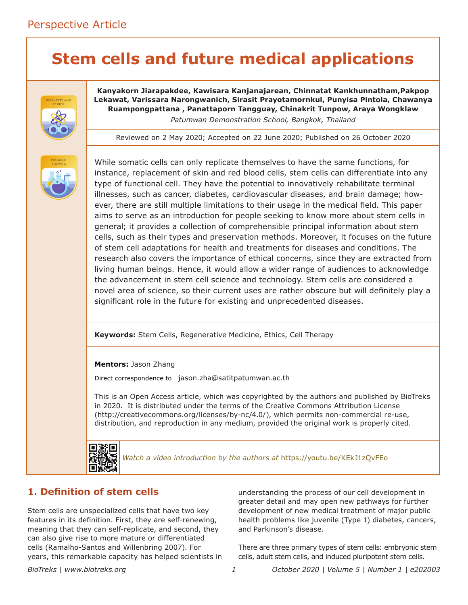# **Stem cells and future medical applications**



**Kanyakorn Jiarapakdee, Kawisara Kanjanajarean, Chinnatat Kankhunnatham,Pakpop Lekawat, Varissara Narongwanich, Sirasit Prayotamornkul, Punyisa Pintola, Chawanya Ruampongpattana , Panattaporn Tangguay, Chinakrit Tunpow, Araya Wongklaw** *Patumwan Demonstration School, Bangkok, Thailand*

Reviewed on 2 May 2020; Accepted on 22 June 2020; Published on 26 October 2020



While somatic cells can only replicate themselves to have the same functions, for instance, replacement of skin and red blood cells, stem cells can differentiate into any type of functional cell. They have the potential to innovatively rehabilitate terminal illnesses, such as cancer, diabetes, cardiovascular diseases, and brain damage; however, there are still multiple limitations to their usage in the medical field. This paper aims to serve as an introduction for people seeking to know more about stem cells in general; it provides a collection of comprehensible principal information about stem cells, such as their types and preservation methods. Moreover, it focuses on the future of stem cell adaptations for health and treatments for diseases and conditions. The research also covers the importance of ethical concerns, since they are extracted from living human beings. Hence, it would allow a wider range of audiences to acknowledge the advancement in stem cell science and technology. Stem cells are considered a novel area of science, so their current uses are rather obscure but will definitely play a significant role in the future for existing and unprecedented diseases.

**Keywords:** Stem Cells, Regenerative Medicine, Ethics, Cell Therapy

**Mentors:** Jason Zhang

Direct correspondence to jason.zha@satitpatumwan.ac.th

This is an Open Access article, which was copyrighted by the authors and published by BioTreks in 2020. It is distributed under the terms of the Creative Commons Attribution License (http://creativecommons.org/licenses/by-nc/4.0/), which permits non-commercial re-use, distribution, and reproduction in any medium, provided the original work is properly cited.



*Watch a video introduction by the authors at* <https://youtu.be/KEkJ1zQvFEo>

# **1. Definition of stem cells**

Stem cells are unspecialized cells that have two key features in its definition. First, they are self-renewing, meaning that they can self-replicate, and second, they can also give rise to more mature or differentiated cells (Ramalho-Santos and Willenbring 2007). For years, this remarkable capacity has helped scientists in understanding the process of our cell development in greater detail and may open new pathways for further development of new medical treatment of major public health problems like juvenile (Type 1) diabetes, cancers, and Parkinson's disease.

There are three primary types of stem cells: embryonic stem cells, adult stem cells, and induced pluripotent stem cells.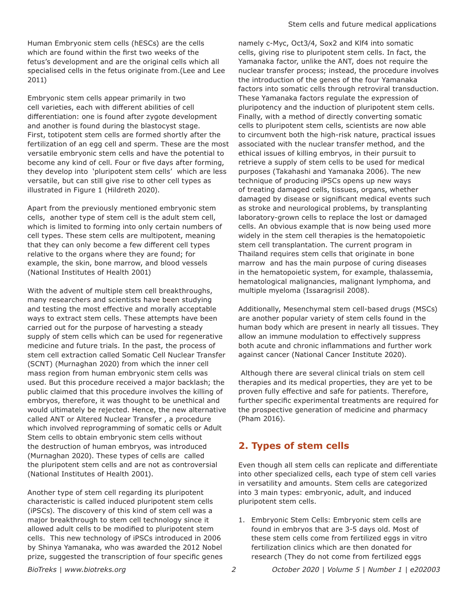Human Embryonic stem cells (hESCs) are the cells which are found within the first two weeks of the fetus's development and are the original cells which all specialised cells in the fetus originate from.(Lee and Lee 2011)

Embryonic stem cells appear primarily in two cell varieties, each with different abilities of cell differentiation: one is found after zygote development and another is found during the blastocyst stage. First, totipotent stem cells are formed shortly after the fertilization of an egg cell and sperm. These are the most versatile embryonic stem cells and have the potential to become any kind of cell. Four or five days after forming, they develop into 'pluripotent stem cells' which are less versatile, but can still give rise to other cell types as illustrated in Figure 1 (Hildreth 2020).

Apart from the previously mentioned embryonic stem cells, another type of stem cell is the adult stem cell, which is limited to forming into only certain numbers of cell types. These stem cells are multipotent, meaning that they can only become a few different cell types relative to the organs where they are found; for example, the skin, bone marrow, and blood vessels (National Institutes of Health 2001)

With the advent of multiple stem cell breakthroughs, many researchers and scientists have been studying and testing the most effective and morally acceptable ways to extract stem cells. These attempts have been carried out for the purpose of harvesting a steady supply of stem cells which can be used for regenerative medicine and future trials. In the past, the process of stem cell extraction called Somatic Cell Nuclear Transfer (SCNT) (Murnaghan 2020) from which the inner cell mass region from human embryonic stem cells was used. But this procedure received a major backlash; the public claimed that this procedure involves the killing of embryos, therefore, it was thought to be unethical and would ultimately be rejected. Hence, the new alternative called ANT or Altered Nuclear Transfer , a procedure which involved reprogramming of somatic cells or Adult Stem cells to obtain embryonic stem cells without the destruction of human embryos, was introduced (Murnaghan 2020). These types of cells are called the pluripotent stem cells and are not as controversial (National Institutes of Health 2001).

Another type of stem cell regarding its pluripotent characteristic is called induced pluripotent stem cells (iPSCs). The discovery of this kind of stem cell was a major breakthrough to stem cell technology since it allowed adult cells to be modified to pluripotent stem cells. This new technology of iPSCs introduced in 2006 by Shinya Yamanaka, who was awarded the 2012 Nobel prize, suggested the transcription of four specific genes

namely c-Myc, Oct3/4, Sox2 and Klf4 into somatic cells, giving rise to pluripotent stem cells. In fact, the Yamanaka factor, unlike the ANT, does not require the nuclear transfer process; instead, the procedure involves the introduction of the genes of the four Yamanaka factors into somatic cells through retroviral transduction. These Yamanaka factors regulate the expression of pluripotency and the induction of pluripotent stem cells. Finally, with a method of directly converting somatic cells to pluripotent stem cells, scientists are now able to circumvent both the high-risk nature, practical issues associated with the nuclear transfer method, and the ethical issues of killing embryos, in their pursuit to retrieve a supply of stem cells to be used for medical purposes (Takahashi and Yamanaka 2006). The new technique of producing iPSCs opens up new ways of treating damaged cells, tissues, organs, whether damaged by disease or significant medical events such as stroke and neurological problems, by transplanting laboratory-grown cells to replace the lost or damaged cells. An obvious example that is now being used more widely in the stem cell therapies is the hematopoietic stem cell transplantation. The current program in Thailand requires stem cells that originate in bone marrow and has the main purpose of curing diseases in the hematopoietic system, for example, thalassemia, hematological malignancies, malignant lymphoma, and multiple myeloma (Issaragrisil 2008).

Additionally, Mesenchymal stem cell-based drugs (MSCs) are another popular variety of stem cells found in the human body which are present in nearly all tissues. They allow an immune modulation to effectively suppress both acute and chronic inflammations and further work against cancer (National Cancer Institute 2020).

 Although there are several clinical trials on stem cell therapies and its medical properties, they are yet to be proven fully effective and safe for patients. Therefore, further specific experimental treatments are required for the prospective generation of medicine and pharmacy (Pham 2016).

# **2. Types of stem cells**

Even though all stem cells can replicate and differentiate into other specialized cells, each type of stem cell varies in versatility and amounts. Stem cells are categorized into 3 main types: embryonic, adult, and induced pluripotent stem cells.

1. Embryonic Stem Cells: Embryonic stem cells are found in embryos that are 3-5 days old. Most of these stem cells come from fertilized eggs in vitro fertilization clinics which are then donated for research (They do not come from fertilized eggs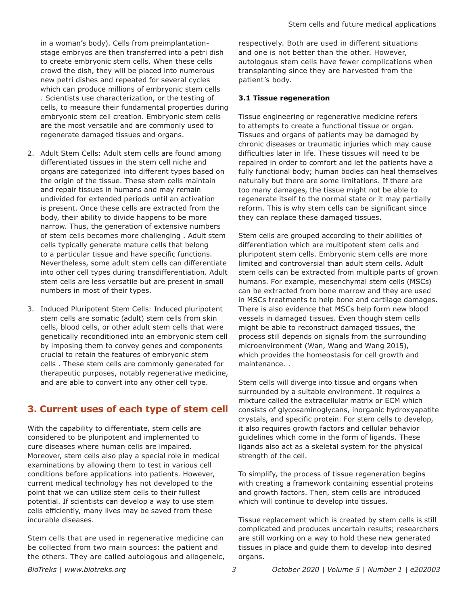in a woman's body). Cells from preimplantationstage embryos are then transferred into a petri dish to create embryonic stem cells. When these cells crowd the dish, they will be placed into numerous new petri dishes and repeated for several cycles which can produce millions of embryonic stem cells . Scientists use characterization, or the testing of cells, to measure their fundamental properties during embryonic stem cell creation. Embryonic stem cells are the most versatile and are commonly used to regenerate damaged tissues and organs.

- 2. Adult Stem Cells: Adult stem cells are found among differentiated tissues in the stem cell niche and organs are categorized into different types based on the origin of the tissue. These stem cells maintain and repair tissues in humans and may remain undivided for extended periods until an activation is present. Once these cells are extracted from the body, their ability to divide happens to be more narrow. Thus, the generation of extensive numbers of stem cells becomes more challenging . Adult stem cells typically generate mature cells that belong to a particular tissue and have specific functions. Nevertheless, some adult stem cells can differentiate into other cell types during transdifferentiation. Adult stem cells are less versatile but are present in small numbers in most of their types.
- 3. Induced Pluripotent Stem Cells: Induced pluripotent stem cells are somatic (adult) stem cells from skin cells, blood cells, or other adult stem cells that were genetically reconditioned into an embryonic stem cell by imposing them to convey genes and components crucial to retain the features of embryonic stem cells . These stem cells are commonly generated for therapeutic purposes, notably regenerative medicine, and are able to convert into any other cell type.

# **3. Current uses of each type of stem cell**

With the capability to differentiate, stem cells are considered to be pluripotent and implemented to cure diseases where human cells are impaired. Moreover, stem cells also play a special role in medical examinations by allowing them to test in various cell conditions before applications into patients. However, current medical technology has not developed to the point that we can utilize stem cells to their fullest potential. If scientists can develop a way to use stem cells efficiently, many lives may be saved from these incurable diseases.

Stem cells that are used in regenerative medicine can be collected from two main sources: the patient and the others. They are called autologous and allogeneic, respectively. Both are used in different situations and one is not better than the other. However, autologous stem cells have fewer complications when transplanting since they are harvested from the patient's body.

# **3.1 Tissue regeneration**

Tissue engineering or regenerative medicine refers to attempts to create a functional tissue or organ. Tissues and organs of patients may be damaged by chronic diseases or traumatic injuries which may cause difficulties later in life. These tissues will need to be repaired in order to comfort and let the patients have a fully functional body; human bodies can heal themselves naturally but there are some limitations. If there are too many damages, the tissue might not be able to regenerate itself to the normal state or it may partially reform. This is why stem cells can be significant since they can replace these damaged tissues.

Stem cells are grouped according to their abilities of differentiation which are multipotent stem cells and pluripotent stem cells. Embryonic stem cells are more limited and controversial than adult stem cells. Adult stem cells can be extracted from multiple parts of grown humans. For example, mesenchymal stem cells (MSCs) can be extracted from bone marrow and they are used in MSCs treatments to help bone and cartilage damages. There is also evidence that MSCs help form new blood vessels in damaged tissues. Even though stem cells might be able to reconstruct damaged tissues, the process still depends on signals from the surrounding microenvironment (Wan, Wang and Wang 2015), which provides the homeostasis for cell growth and maintenance. .

Stem cells will diverge into tissue and organs when surrounded by a suitable environment. It requires a mixture called the extracellular matrix or ECM which consists of glycosaminoglycans, inorganic hydroxyapatite crystals, and specific protein. For stem cells to develop, it also requires growth factors and cellular behavior guidelines which come in the form of ligands. These ligands also act as a skeletal system for the physical strength of the cell.

To simplify, the process of tissue regeneration begins with creating a framework containing essential proteins and growth factors. Then, stem cells are introduced which will continue to develop into tissues.

Tissue replacement which is created by stem cells is still complicated and produces uncertain results; researchers are still working on a way to hold these new generated tissues in place and guide them to develop into desired organs.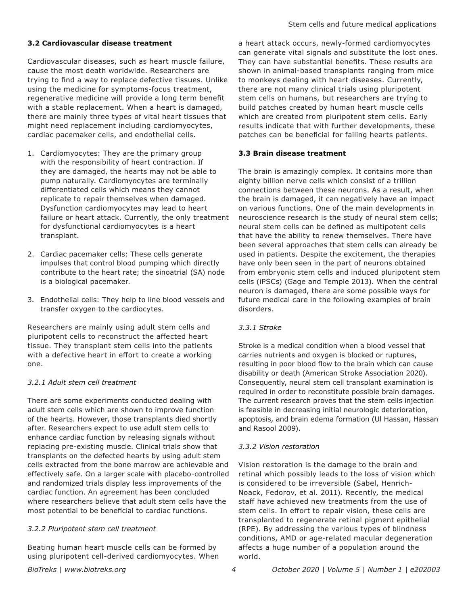# **3.2 Cardiovascular disease treatment**

Cardiovascular diseases, such as heart muscle failure, cause the most death worldwide. Researchers are trying to find a way to replace defective tissues. Unlike using the medicine for symptoms-focus treatment, regenerative medicine will provide a long term benefit with a stable replacement. When a heart is damaged, there are mainly three types of vital heart tissues that might need replacement including cardiomyocytes, cardiac pacemaker cells, and endothelial cells.

- 1. Cardiomyocytes: They are the primary group with the responsibility of heart contraction. If they are damaged, the hearts may not be able to pump naturally. Cardiomyocytes are terminally differentiated cells which means they cannot replicate to repair themselves when damaged. Dysfunction cardiomyocytes may lead to heart failure or heart attack. Currently, the only treatment for dysfunctional cardiomyocytes is a heart transplant.
- 2. Cardiac pacemaker cells: These cells generate impulses that control blood pumping which directly contribute to the heart rate; the sinoatrial (SA) node is a biological pacemaker.
- 3. Endothelial cells: They help to line blood vessels and transfer oxygen to the cardiocytes.

Researchers are mainly using adult stem cells and pluripotent cells to reconstruct the affected heart tissue. They transplant stem cells into the patients with a defective heart in effort to create a working one.

# *3.2.1 Adult stem cell treatment*

There are some experiments conducted dealing with adult stem cells which are shown to improve function of the hearts. However, those transplants died shortly after. Researchers expect to use adult stem cells to enhance cardiac function by releasing signals without replacing pre-existing muscle. Clinical trials show that transplants on the defected hearts by using adult stem cells extracted from the bone marrow are achievable and effectively safe. On a larger scale with placebo-controlled and randomized trials display less improvements of the cardiac function. An agreement has been concluded where researchers believe that adult stem cells have the most potential to be beneficial to cardiac functions.

# *3.2.2 Pluripotent stem cell treatment*

Beating human heart muscle cells can be formed by using pluripotent cell-derived cardiomyocytes. When

a heart attack occurs, newly-formed cardiomyocytes can generate vital signals and substitute the lost ones. They can have substantial benefits. These results are shown in animal-based transplants ranging from mice to monkeys dealing with heart diseases. Currently, there are not many clinical trials using pluripotent stem cells on humans, but researchers are trying to build patches created by human heart muscle cells which are created from pluripotent stem cells. Early results indicate that with further developments, these patches can be beneficial for failing hearts patients.

# **3.3 Brain disease treatment**

The brain is amazingly complex. It contains more than eighty billion nerve cells which consist of a trillion connections between these neurons. As a result, when the brain is damaged, it can negatively have an impact on various functions. One of the main developments in neuroscience research is the study of neural stem cells; neural stem cells can be defined as multipotent cells that have the ability to renew themselves. There have been several approaches that stem cells can already be used in patients. Despite the excitement, the therapies have only been seen in the part of neurons obtained from embryonic stem cells and induced pluripotent stem cells (iPSCs) (Gage and Temple 2013). When the central neuron is damaged, there are some possible ways for future medical care in the following examples of brain disorders.

# *3.3.1 Stroke*

Stroke is a medical condition when a blood vessel that carries nutrients and oxygen is blocked or ruptures, resulting in poor blood flow to the brain which can cause disability or death (American Stroke Association 2020). Consequently, neural stem cell transplant examination is required in order to reconstitute possible brain damages. The current research proves that the stem cells injection is feasible in decreasing initial neurologic deterioration, apoptosis, and brain edema formation (Ul Hassan, Hassan and Rasool 2009).

# *3.3.2 Vision restoration*

Vision restoration is the damage to the brain and retinal which possibly leads to the loss of vision which is considered to be irreversible (Sabel, Henrich-Noack, Fedorov, et al. 2011). Recently, the medical staff have achieved new treatments from the use of stem cells. In effort to repair vision, these cells are transplanted to regenerate retinal pigment epithelial (RPE). By addressing the various types of blindness conditions, AMD or age-related macular degeneration affects a huge number of a population around the world.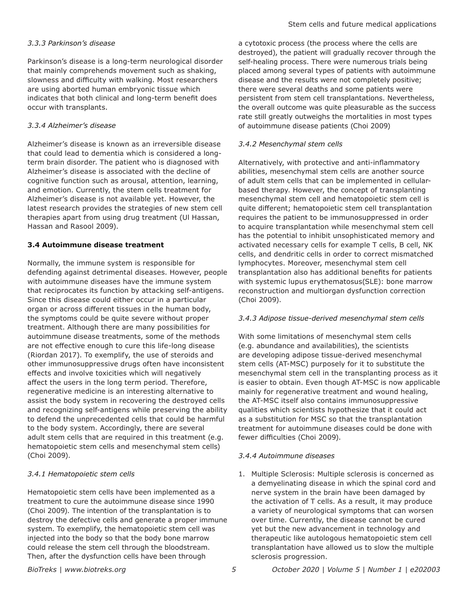## *3.3.3 Parkinson's disease*

Parkinson's disease is a long-term neurological disorder that mainly comprehends movement such as shaking, slowness and difficulty with walking. Most researchers are using aborted human embryonic tissue which indicates that both clinical and long-term benefit does occur with transplants.

## *3.3.4 Alzheimer's disease*

Alzheimer's disease is known as an irreversible disease that could lead to dementia which is considered a longterm brain disorder. The patient who is diagnosed with Alzheimer's disease is associated with the decline of cognitive function such as arousal, attention, learning, and emotion. Currently, the stem cells treatment for Alzheimer's disease is not available yet. However, the latest research provides the strategies of new stem cell therapies apart from using drug treatment (Ul Hassan, Hassan and Rasool 2009).

## **3.4 Autoimmune disease treatment**

Normally, the immune system is responsible for defending against detrimental diseases. However, people with autoimmune diseases have the immune system that reciprocates its function by attacking self-antigens. Since this disease could either occur in a particular organ or across different tissues in the human body, the symptoms could be quite severe without proper treatment. Although there are many possibilities for autoimmune disease treatments, some of the methods are not effective enough to cure this life-long disease (Riordan 2017). To exemplify, the use of steroids and other immunosuppressive drugs often have inconsistent effects and involve toxicities which will negatively affect the users in the long term period. Therefore, regenerative medicine is an interesting alternative to assist the body system in recovering the destroyed cells and recognizing self-antigens while preserving the ability to defend the unprecedented cells that could be harmful to the body system. Accordingly, there are several adult stem cells that are required in this treatment (e.g. hematopoietic stem cells and mesenchymal stem cells) (Choi 2009).

## *3.4.1 Hematopoietic stem cells*

Hematopoietic stem cells have been implemented as a treatment to cure the autoimmune disease since 1990 (Choi 2009). The intention of the transplantation is to destroy the defective cells and generate a proper immune system. To exemplify, the hematopoietic stem cell was injected into the body so that the body bone marrow could release the stem cell through the bloodstream. Then, after the dysfunction cells have been through

a cytotoxic process (the process where the cells are destroyed), the patient will gradually recover through the self-healing process. There were numerous trials being placed among several types of patients with autoimmune disease and the results were not completely positive; there were several deaths and some patients were persistent from stem cell transplantations. Nevertheless, the overall outcome was quite pleasurable as the success rate still greatly outweighs the mortalities in most types of autoimmune disease patients (Choi 2009)

## *3.4.2 Mesenchymal stem cells*

Alternatively, with protective and anti-inflammatory abilities, mesenchymal stem cells are another source of adult stem cells that can be implemented in cellularbased therapy. However, the concept of transplanting mesenchymal stem cell and hematopoietic stem cell is quite different; hematopoietic stem cell transplantation requires the patient to be immunosuppressed in order to acquire transplantation while mesenchymal stem cell has the potential to inhibit unsophisticated memory and activated necessary cells for example T cells, B cell, NK cells, and dendritic cells in order to correct mismatched lymphocytes. Moreover, mesenchymal stem cell transplantation also has additional benefits for patients with systemic lupus erythematosus(SLE): bone marrow reconstruction and multiorgan dysfunction correction (Choi 2009).

## *3.4.3 Adipose tissue-derived mesenchymal stem cells*

With some limitations of mesenchymal stem cells (e.g. abundance and availabilities), the scientists are developing adipose tissue-derived mesenchymal stem cells (AT-MSC) purposely for it to substitute the mesenchymal stem cell in the transplanting process as it is easier to obtain. Even though AT-MSC is now applicable mainly for regenerative treatment and wound healing, the AT-MSC itself also contains immunosuppressive qualities which scientists hypothesize that it could act as a substitution for MSC so that the transplantation treatment for autoimmune diseases could be done with fewer difficulties (Choi 2009).

## *3.4.4 Autoimmune diseases*

1. Multiple Sclerosis: Multiple sclerosis is concerned as a demyelinating disease in which the spinal cord and nerve system in the brain have been damaged by the activation of T cells. As a result, it may produce a variety of neurological symptoms that can worsen over time. Currently, the disease cannot be cured yet but the new advancement in technology and therapeutic like autologous hematopoietic stem cell transplantation have allowed us to slow the multiple sclerosis progression.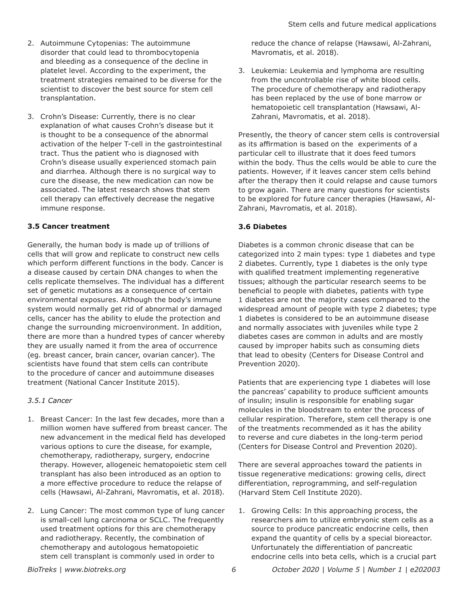- 2. Autoimmune Cytopenias: The autoimmune disorder that could lead to thrombocytopenia and bleeding as a consequence of the decline in platelet level. According to the experiment, the treatment strategies remained to be diverse for the scientist to discover the best source for stem cell transplantation.
- 3. Crohn's Disease: Currently, there is no clear explanation of what causes Crohn's disease but it is thought to be a consequence of the abnormal activation of the helper T-cell in the gastrointestinal tract. Thus the patient who is diagnosed with Crohn's disease usually experienced stomach pain and diarrhea. Although there is no surgical way to cure the disease, the new medication can now be associated. The latest research shows that stem cell therapy can effectively decrease the negative immune response.

# **3.5 Cancer treatment**

Generally, the human body is made up of trillions of cells that will grow and replicate to construct new cells which perform different functions in the body. Cancer is a disease caused by certain DNA changes to when the cells replicate themselves. The individual has a different set of genetic mutations as a consequence of certain environmental exposures. Although the body's immune system would normally get rid of abnormal or damaged cells, cancer has the ability to elude the protection and change the surrounding microenvironment. In addition, there are more than a hundred types of cancer whereby they are usually named it from the area of occurrence (eg. breast cancer, brain cancer, ovarian cancer). The scientists have found that stem cells can contribute to the procedure of cancer and autoimmune diseases treatment (National Cancer Institute 2015).

# *3.5.1 Cancer*

- 1. Breast Cancer: In the last few decades, more than a million women have suffered from breast cancer. The new advancement in the medical field has developed various options to cure the disease, for example, chemotherapy, radiotherapy, surgery, endocrine therapy. However, allogeneic hematopoietic stem cell transplant has also been introduced as an option to a more effective procedure to reduce the relapse of cells (Hawsawi, Al-Zahrani, Mavromatis, et al. 2018).
- 2. Lung Cancer: The most common type of lung cancer is small-cell lung carcinoma or SCLC. The frequently used treatment options for this are chemotherapy and radiotherapy. Recently, the combination of chemotherapy and autologous hematopoietic stem cell transplant is commonly used in order to

reduce the chance of relapse (Hawsawi, Al-Zahrani, Mavromatis, et al. 2018).

3. Leukemia: Leukemia and lymphoma are resulting from the uncontrollable rise of white blood cells. The procedure of chemotherapy and radiotherapy has been replaced by the use of bone marrow or hematopoietic cell transplantation (Hawsawi, Al-Zahrani, Mavromatis, et al. 2018).

Presently, the theory of cancer stem cells is controversial as its affirmation is based on the experiments of a particular cell to illustrate that it does feed tumors within the body. Thus the cells would be able to cure the patients. However, if it leaves cancer stem cells behind after the therapy then it could relapse and cause tumors to grow again. There are many questions for scientists to be explored for future cancer therapies (Hawsawi, Al-Zahrani, Mavromatis, et al. 2018).

# **3.6 Diabetes**

Diabetes is a common chronic disease that can be categorized into 2 main types: type 1 diabetes and type 2 diabetes. Currently, type 1 diabetes is the only type with qualified treatment implementing regenerative tissues; although the particular research seems to be beneficial to people with diabetes, patients with type 1 diabetes are not the majority cases compared to the widespread amount of people with type 2 diabetes; type 1 diabetes is considered to be an autoimmune disease and normally associates with juveniles while type 2 diabetes cases are common in adults and are mostly caused by improper habits such as consuming diets that lead to obesity (Centers for Disease Control and Prevention 2020).

Patients that are experiencing type 1 diabetes will lose the pancreas' capability to produce sufficient amounts of insulin; insulin is responsible for enabling sugar molecules in the bloodstream to enter the process of cellular respiration. Therefore, stem cell therapy is one of the treatments recommended as it has the ability to reverse and cure diabetes in the long-term period (Centers for Disease Control and Prevention 2020).

There are several approaches toward the patients in tissue regenerative medications: growing cells, direct differentiation, reprogramming, and self-regulation (Harvard Stem Cell Institute 2020).

1. Growing Cells: In this approaching process, the researchers aim to utilize embryonic stem cells as a source to produce pancreatic endocrine cells, then expand the quantity of cells by a special bioreactor. Unfortunately the differentiation of pancreatic endocrine cells into beta cells, which is a crucial part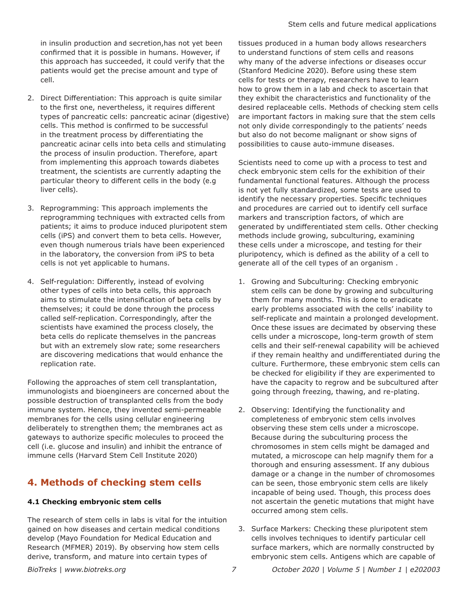in insulin production and secretion,has not yet been confirmed that it is possible in humans. However, if this approach has succeeded, it could verify that the patients would get the precise amount and type of cell.

- 2. Direct Differentiation: This approach is quite similar to the first one, nevertheless, it requires different types of pancreatic cells: pancreatic acinar (digestive) cells. This method is confirmed to be successful in the treatment process by differentiating the pancreatic acinar cells into beta cells and stimulating the process of insulin production. Therefore, apart from implementing this approach towards diabetes treatment, the scientists are currently adapting the particular theory to different cells in the body (e.g liver cells).
- 3. Reprogramming: This approach implements the reprogramming techniques with extracted cells from patients; it aims to produce induced pluripotent stem cells (iPS) and convert them to beta cells. However, even though numerous trials have been experienced in the laboratory, the conversion from iPS to beta cells is not yet applicable to humans.
- 4. Self-regulation: Differently, instead of evolving other types of cells into beta cells, this approach aims to stimulate the intensification of beta cells by themselves; it could be done through the process called self-replication. Correspondingly, after the scientists have examined the process closely, the beta cells do replicate themselves in the pancreas but with an extremely slow rate; some researchers are discovering medications that would enhance the replication rate.

Following the approaches of stem cell transplantation, immunologists and bioengineers are concerned about the possible destruction of transplanted cells from the body immune system. Hence, they invented semi-permeable membranes for the cells using cellular engineering deliberately to strengthen them; the membranes act as gateways to authorize specific molecules to proceed the cell (i.e. glucose and insulin) and inhibit the entrance of immune cells (Harvard Stem Cell Institute 2020)

# **4. Methods of checking stem cells**

# **4.1 Checking embryonic stem cells**

The research of stem cells in labs is vital for the intuition gained on how diseases and certain medical conditions develop (Mayo Foundation for Medical Education and Research (MFMER) 2019). By observing how stem cells derive, transform, and mature into certain types of

tissues produced in a human body allows researchers to understand functions of stem cells and reasons why many of the adverse infections or diseases occur (Stanford Medicine 2020). Before using these stem cells for tests or therapy, researchers have to learn how to grow them in a lab and check to ascertain that they exhibit the characteristics and functionality of the desired replaceable cells. Methods of checking stem cells are important factors in making sure that the stem cells not only divide correspondingly to the patients' needs but also do not become malignant or show signs of possibilities to cause auto-immune diseases.

Scientists need to come up with a process to test and check embryonic stem cells for the exhibition of their fundamental functional features. Although the process is not yet fully standardized, some tests are used to identify the necessary properties. Specific techniques and procedures are carried out to identify cell surface markers and transcription factors, of which are generated by undifferentiated stem cells. Other checking methods include growing, subculturing, examining these cells under a microscope, and testing for their pluripotency, which is defined as the ability of a cell to generate all of the cell types of an organism .

- 1. Growing and Subculturing: Checking embryonic stem cells can be done by growing and subculturing them for many months. This is done to eradicate early problems associated with the cells' inability to self-replicate and maintain a prolonged development. Once these issues are decimated by observing these cells under a microscope, long-term growth of stem cells and their self-renewal capability will be achieved if they remain healthy and undifferentiated during the culture. Furthermore, these embryonic stem cells can be checked for eligibility if they are experimented to have the capacity to regrow and be subcultured after going through freezing, thawing, and re-plating.
- 2. Observing: Identifying the functionality and completeness of embryonic stem cells involves observing these stem cells under a microscope. Because during the subculturing process the chromosomes in stem cells might be damaged and mutated, a microscope can help magnify them for a thorough and ensuring assessment. If any dubious damage or a change in the number of chromosomes can be seen, those embryonic stem cells are likely incapable of being used. Though, this process does not ascertain the genetic mutations that might have occurred among stem cells.
- 3. Surface Markers: Checking these pluripotent stem cells involves techniques to identify particular cell surface markers, which are normally constructed by embryonic stem cells. Antigens which are capable of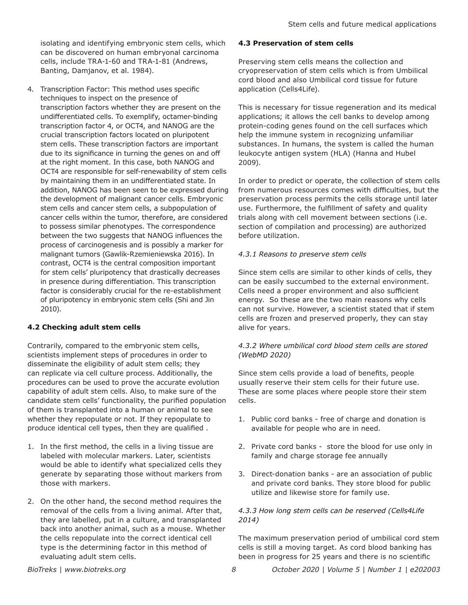isolating and identifying embryonic stem cells, which can be discovered on human embryonal carcinoma cells, include TRA-1-60 and TRA-1-81 (Andrews, Banting, Damjanov, et al. 1984).

4. Transcription Factor: This method uses specific techniques to inspect on the presence of transcription factors whether they are present on the undifferentiated cells. To exemplify, octamer-binding transcription factor 4, or OCT4, and NANOG are the crucial transcription factors located on pluripotent stem cells. These transcription factors are important due to its significance in turning the genes on and off at the right moment. In this case, both NANOG and OCT4 are responsible for self-renewability of stem cells by maintaining them in an undifferentiated state. In addition, NANOG has been seen to be expressed during the development of malignant cancer cells. Embryonic stem cells and cancer stem cells, a subpopulation of cancer cells within the tumor, therefore, are considered to possess similar phenotypes. The correspondence between the two suggests that NANOG influences the process of carcinogenesis and is possibly a marker for malignant tumors (Gawlik-Rzemieniewska 2016). In contrast, OCT4 is the central composition important for stem cells' pluripotency that drastically decreases in presence during differentiation. This transcription factor is considerably crucial for the re-establishment of pluripotency in embryonic stem cells (Shi and Jin 2010).

# **4.2 Checking adult stem cells**

Contrarily, compared to the embryonic stem cells, scientists implement steps of procedures in order to disseminate the eligibility of adult stem cells; they can replicate via cell culture process. Additionally, the procedures can be used to prove the accurate evolution capability of adult stem cells. Also, to make sure of the candidate stem cells' functionality, the purified population of them is transplanted into a human or animal to see whether they repopulate or not. If they repopulate to produce identical cell types, then they are qualified .

- 1. In the first method, the cells in a living tissue are labeled with molecular markers. Later, scientists would be able to identify what specialized cells they generate by separating those without markers from those with markers.
- 2. On the other hand, the second method requires the removal of the cells from a living animal. After that, they are labelled, put in a culture, and transplanted back into another animal, such as a mouse. Whether the cells repopulate into the correct identical cell type is the determining factor in this method of evaluating adult stem cells.

## **4.3 Preservation of stem cells**

Preserving stem cells means the collection and cryopreservation of stem cells which is from Umbilical cord blood and also Umbilical cord tissue for future application (Cells4Life).

This is necessary for tissue regeneration and its medical applications; it allows the cell banks to develop among protein-coding genes found on the cell surfaces which help the immune system in recognizing unfamiliar substances. In humans, the system is called the human leukocyte antigen system (HLA) (Hanna and Hubel 2009).

In order to predict or operate, the collection of stem cells from numerous resources comes with difficulties, but the preservation process permits the cells storage until later use. Furthermore, the fulfillment of safety and quality trials along with cell movement between sections (i.e. section of compilation and processing) are authorized before utilization.

## *4.3.1 Reasons to preserve stem cells*

Since stem cells are similar to other kinds of cells, they can be easily succumbed to the external environment. Cells need a proper environment and also sufficient energy. So these are the two main reasons why cells can not survive. However, a scientist stated that if stem cells are frozen and preserved properly, they can stay alive for years.

# *4.3.2 Where umbilical cord blood stem cells are stored (WebMD 2020)*

Since stem cells provide a load of benefits, people usually reserve their stem cells for their future use. These are some places where people store their stem cells.

- 1. Public cord banks free of charge and donation is available for people who are in need.
- 2. Private cord banks store the blood for use only in family and charge storage fee annually
- 3. Direct-donation banks are an association of public and private cord banks. They store blood for public utilize and likewise store for family use.

# *4.3.3 How long stem cells can be reserved (Cells4Life 2014)*

The maximum preservation period of umbilical cord stem cells is still a moving target. As cord blood banking has been in progress for 25 years and there is no scientific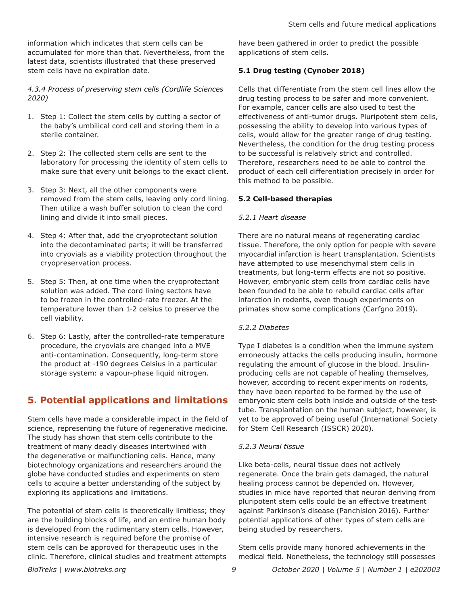information which indicates that stem cells can be accumulated for more than that. Nevertheless, from the latest data, scientists illustrated that these preserved stem cells have no expiration date.

*4.3.4 Process of preserving stem cells (Cordlife Sciences 2020)*

- 1. Step 1: Collect the stem cells by cutting a sector of the baby's umbilical cord cell and storing them in a sterile container.
- 2. Step 2: The collected stem cells are sent to the laboratory for processing the identity of stem cells to make sure that every unit belongs to the exact client.
- 3. Step 3: Next, all the other components were removed from the stem cells, leaving only cord lining. Then utilize a wash buffer solution to clean the cord lining and divide it into small pieces.
- 4. Step 4: After that, add the cryoprotectant solution into the decontaminated parts; it will be transferred into cryovials as a viability protection throughout the cryopreservation process.
- 5. Step 5: Then, at one time when the cryoprotectant solution was added. The cord lining sectors have to be frozen in the controlled-rate freezer. At the temperature lower than 1-2 celsius to preserve the cell viability.
- 6. Step 6: Lastly, after the controlled-rate temperature procedure, the cryovials are changed into a MVE anti-contamination. Consequently, long-term store the product at -190 degrees Celsius in a particular storage system: a vapour-phase liquid nitrogen.

# **5. Potential applications and limitations**

Stem cells have made a considerable impact in the field of science, representing the future of regenerative medicine. The study has shown that stem cells contribute to the treatment of many deadly diseases intertwined with the degenerative or malfunctioning cells. Hence, many biotechnology organizations and researchers around the globe have conducted studies and experiments on stem cells to acquire a better understanding of the subject by exploring its applications and limitations.

The potential of stem cells is theoretically limitless; they are the building blocks of life, and an entire human body is developed from the rudimentary stem cells. However, intensive research is required before the promise of stem cells can be approved for therapeutic uses in the clinic. Therefore, clinical studies and treatment attempts have been gathered in order to predict the possible applications of stem cells.

# **5.1 Drug testing (Cynober 2018)**

Cells that differentiate from the stem cell lines allow the drug testing process to be safer and more convenient. For example, cancer cells are also used to test the effectiveness of anti-tumor drugs. Pluripotent stem cells, possessing the ability to develop into various types of cells, would allow for the greater range of drug testing. Nevertheless, the condition for the drug testing process to be successful is relatively strict and controlled. Therefore, researchers need to be able to control the product of each cell differentiation precisely in order for this method to be possible.

# **5.2 Cell-based therapies**

# *5.2.1 Heart disease*

There are no natural means of regenerating cardiac tissue. Therefore, the only option for people with severe myocardial infarction is heart transplantation. Scientists have attempted to use mesenchymal stem cells in treatments, but long-term effects are not so positive. However, embryonic stem cells from cardiac cells have been founded to be able to rebuild cardiac cells after infarction in rodents, even though experiments on primates show some complications (Carfgno 2019).

# *5.2.2 Diabetes*

Type I diabetes is a condition when the immune system erroneously attacks the cells producing insulin, hormone regulating the amount of glucose in the blood. Insulinproducing cells are not capable of healing themselves, however, according to recent experiments on rodents, they have been reported to be formed by the use of embryonic stem cells both inside and outside of the testtube. Transplantation on the human subject, however, is yet to be approved of being useful (International Society for Stem Cell Research (ISSCR) 2020).

## *5.2.3 Neural tissue*

Like beta-cells, neural tissue does not actively regenerate. Once the brain gets damaged, the natural healing process cannot be depended on. However, studies in mice have reported that neuron deriving from pluripotent stem cells could be an effective treatment against Parkinson's disease (Panchision 2016). Further potential applications of other types of stem cells are being studied by researchers.

Stem cells provide many honored achievements in the medical field. Nonetheless, the technology still possesses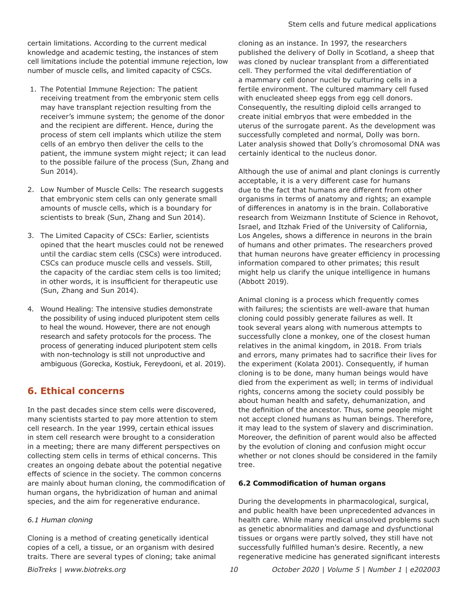certain limitations. According to the current medical knowledge and academic testing, the instances of stem cell limitations include the potential immune rejection, low number of muscle cells, and limited capacity of CSCs.

- 1. The Potential Immune Rejection: The patient receiving treatment from the embryonic stem cells may have transplant rejection resulting from the receiver's immune system; the genome of the donor and the recipient are different. Hence, during the process of stem cell implants which utilize the stem cells of an embryo then deliver the cells to the patient, the immune system might reject; it can lead to the possible failure of the process (Sun, Zhang and Sun 2014).
- 2. Low Number of Muscle Cells: The research suggests that embryonic stem cells can only generate small amounts of muscle cells, which is a boundary for scientists to break (Sun, Zhang and Sun 2014).
- 3. The Limited Capacity of CSCs: Earlier, scientists opined that the heart muscles could not be renewed until the cardiac stem cells (CSCs) were introduced. CSCs can produce muscle cells and vessels. Still, the capacity of the cardiac stem cells is too limited; in other words, it is insufficient for therapeutic use (Sun, Zhang and Sun 2014).
- 4. Wound Healing: The intensive studies demonstrate the possibility of using induced pluripotent stem cells to heal the wound. However, there are not enough research and safety protocols for the process. The process of generating induced pluripotent stem cells with non-technology is still not unproductive and ambiguous (Gorecka, Kostiuk, Fereydooni, et al. 2019).

# **6. Ethical concerns**

In the past decades since stem cells were discovered, many scientists started to pay more attention to stem cell research. In the year 1999, certain ethical issues in stem cell research were brought to a consideration in a meeting; there are many different perspectives on collecting stem cells in terms of ethical concerns. This creates an ongoing debate about the potential negative effects of science in the society. The common concerns are mainly about human cloning, the commodification of human organs, the hybridization of human and animal species, and the aim for regenerative endurance.

# *6.1 Human cloning*

Cloning is a method of creating genetically identical copies of a cell, a tissue, or an organism with desired traits. There are several types of cloning; take animal cloning as an instance. In 1997, the researchers published the delivery of Dolly in Scotland, a sheep that was cloned by nuclear transplant from a differentiated cell. They performed the vital dedifferentiation of a mammary cell donor nuclei by culturing cells in a fertile environment. The cultured mammary cell fused with enucleated sheep eggs from egg cell donors. Consequently, the resulting diploid cells arranged to create initial embryos that were embedded in the uterus of the surrogate parent. As the development was successfully completed and normal, Dolly was born. Later analysis showed that Dolly's chromosomal DNA was certainly identical to the nucleus donor.

Although the use of animal and plant clonings is currently acceptable, it is a very different case for humans due to the fact that humans are different from other organisms in terms of anatomy and rights; an example of differences in anatomy is in the brain. Collaborative research from Weizmann Institute of Science in Rehovot, Israel, and Itzhak Fried of the University of California, Los Angeles, shows a difference in neurons in the brain of humans and other primates. The researchers proved that human neurons have greater efficiency in processing information compared to other primates; this result might help us clarify the unique intelligence in humans (Abbott 2019).

Animal cloning is a process which frequently comes with failures; the scientists are well-aware that human cloning could possibly generate failures as well. It took several years along with numerous attempts to successfully clone a monkey, one of the closest human relatives in the animal kingdom, in 2018. From trials and errors, many primates had to sacrifice their lives for the experiment (Kolata 2001). Consequently, if human cloning is to be done, many human beings would have died from the experiment as well; in terms of individual rights, concerns among the society could possibly be about human health and safety, dehumanization, and the definition of the ancestor. Thus, some people might not accept cloned humans as human beings. Therefore, it may lead to the system of slavery and discrimination. Moreover, the definition of parent would also be affected by the evolution of cloning and confusion might occur whether or not clones should be considered in the family tree.

# **6.2 Commodification of human organs**

During the developments in pharmacological, surgical, and public health have been unprecedented advances in health care. While many medical unsolved problems such as genetic abnormalities and damage and dysfunctional tissues or organs were partly solved, they still have not successfully fulfilled human's desire. Recently, a new regenerative medicine has generated significant interests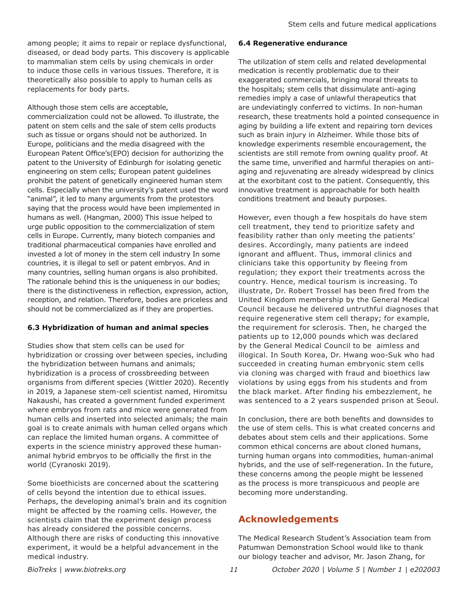among people; it aims to repair or replace dysfunctional, diseased, or dead body parts. This discovery is applicable to mammalian stem cells by using chemicals in order to induce those cells in various tissues. Therefore, it is theoretically also possible to apply to human cells as replacements for body parts.

Although those stem cells are acceptable,

commercialization could not be allowed. To illustrate, the patent on stem cells and the sale of stem cells products such as tissue or organs should not be authorized. In Europe, politicians and the media disagreed with the European Patent Office's(EPO) decision for authorizing the patent to the University of Edinburgh for isolating genetic engineering on stem cells; European patent guidelines prohibit the patent of genetically engineered human stem cells. Especially when the university's patent used the word "animal", it led to many arguments from the protestors saying that the process would have been implemented in humans as well. (Hangman, 2000) This issue helped to urge public opposition to the commercialization of stem cells in Europe. Currently, many biotech companies and traditional pharmaceutical companies have enrolled and invested a lot of money in the stem cell industry In some countries, it is illegal to sell or patent embryos. And in many countries, selling human organs is also prohibited. The rationale behind this is the uniqueness in our bodies; there is the distinctiveness in reflection, expression, action, reception, and relation. Therefore, bodies are priceless and should not be commercialized as if they are properties.

# **6.3 Hybridization of human and animal species**

Studies show that stem cells can be used for hybridization or crossing over between species, including the hybridization between humans and animals; hybridization is a process of crossbreeding between organisms from different species (Wittler 2020). Recently in 2019, a Japanese stem-cell scientist named, Hiromitsu Nakaushi, has created a government funded experiment where embryos from rats and mice were generated from human cells and inserted into selected animals; the main goal is to create animals with human celled organs which can replace the limited human organs. A committee of experts in the science ministry approved these humananimal hybrid embryos to be officially the first in the world (Cyranoski 2019).

Some bioethicists are concerned about the scattering of cells beyond the intention due to ethical issues. Perhaps, the developing animal's brain and its cognition might be affected by the roaming cells. However, the scientists claim that the experiment design process has already considered the possible concerns. Although there are risks of conducting this innovative experiment, it would be a helpful advancement in the medical industry.

# **6.4 Regenerative endurance**

The utilization of stem cells and related developmental medication is recently problematic due to their exaggerated commercials, bringing moral threats to the hospitals; stem cells that dissimulate anti-aging remedies imply a case of unlawful therapeutics that are undeviatingly conferred to victims. In non-human research, these treatments hold a pointed consequence in aging by building a life extent and repairing torn devices such as brain injury in Alzheimer. While those bits of knowledge experiments resemble encouragement, the scientists are still remote from owning quality proof. At the same time, unverified and harmful therapies on antiaging and rejuvenating are already widespread by clinics at the exorbitant cost to the patient. Consequently, this innovative treatment is approachable for both health conditions treatment and beauty purposes.

However, even though a few hospitals do have stem cell treatment, they tend to prioritize safety and feasibility rather than only meeting the patients' desires. Accordingly, many patients are indeed ignorant and affluent. Thus, immoral clinics and clinicians take this opportunity by fleeing from regulation; they export their treatments across the country. Hence, medical tourism is increasing. To illustrate, Dr. Robert Trossel has been fired from the United Kingdom membership by the General Medical Council because he delivered untruthful diagnoses that require regenerative stem cell therapy; for example, the requirement for sclerosis. Then, he charged the patients up to 12,000 pounds which was declared by the General Medical Council to be aimless and illogical. In South Korea, Dr. Hwang woo-Suk who had succeeded in creating human embryonic stem cells via cloning was charged with fraud and bioethics law violations by using eggs from his students and from the black market. After finding his embezzlement, he was sentenced to a 2 years suspended prison at Seoul.

In conclusion, there are both benefits and downsides to the use of stem cells. This is what created concerns and debates about stem cells and their applications. Some common ethical concerns are about cloned humans, turning human organs into commodities, human-animal hybrids, and the use of self-regeneration. In the future, these concerns among the people might be lessened as the process is more transpicuous and people are becoming more understanding.

# **Acknowledgements**

The Medical Research Student's Association team from Patumwan Demonstration School would like to thank our biology teacher and advisor, Mr. Jason Zhang, for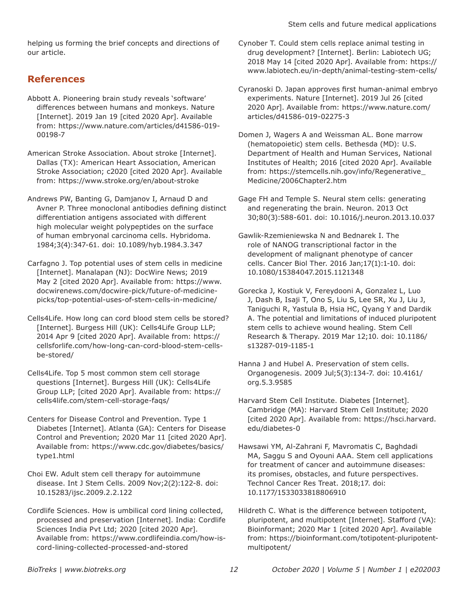helping us forming the brief concepts and directions of our article.

# **References**

- Abbott A. Pioneering brain study reveals 'software' differences between humans and monkeys. Nature [Internet]. 2019 Jan 19 [cited 2020 Apr]. Available from: [https://www.nature.com/articles/d41586-019-](https://www.nature.com/articles/d41586-019-00198-7) [00198-7](https://www.nature.com/articles/d41586-019-00198-7)
- American Stroke Association. About stroke [Internet]. Dallas (TX): American Heart Association, American Stroke Association; c2020 [cited 2020 Apr]. Available from: <https://www.stroke.org/en/about-stroke>
- Andrews PW, Banting G, Damjanov I, Arnaud D and Avner P. Three monoclonal antibodies defining distinct differentiation antigens associated with different high molecular weight polypeptides on the surface of human embryonal carcinoma cells. Hybridoma. 1984;3(4):347-61. doi: 10.1089/hyb.1984.3.347
- Carfagno J. Top potential uses of stem cells in medicine [Internet]. Manalapan (NJ): DocWire News; 2019 May 2 [cited 2020 Apr]. Available from: [https://www.](https://www.docwirenews.com/docwire-pick/future-of-medicine-picks/top-potential-uses-of-stem-cells-in-medicine/) [docwirenews.com/docwire-pick/future-of-medicine](https://www.docwirenews.com/docwire-pick/future-of-medicine-picks/top-potential-uses-of-stem-cells-in-medicine/)[picks/top-potential-uses-of-stem-cells-in-medicine/](https://www.docwirenews.com/docwire-pick/future-of-medicine-picks/top-potential-uses-of-stem-cells-in-medicine/)
- Cells4Life. How long can cord blood stem cells be stored? [Internet]. Burgess Hill (UK): Cells4Life Group LLP; 2014 Apr 9 [cited 2020 Apr]. Available from: [https://](https://cellsforlife.com/how-long-can-cord-blood-stem-cells-be-stored/) [cellsforlife.com/how-long-can-cord-blood-stem-cells](https://cellsforlife.com/how-long-can-cord-blood-stem-cells-be-stored/)[be-stored/](https://cellsforlife.com/how-long-can-cord-blood-stem-cells-be-stored/)
- Cells4Life. Top 5 most common stem cell storage questions [Internet]. Burgess Hill (UK): Cells4Life Group LLP; [cited 2020 Apr]. Available from: [https://](https://cells4life.com/stem-cell-storage-faqs/) [cells4life.com/stem-cell-storage-faqs/](https://cells4life.com/stem-cell-storage-faqs/)
- Centers for Disease Control and Prevention. Type 1 Diabetes [Internet]. Atlanta (GA): Centers for Disease Control and Prevention; 2020 Mar 11 [cited 2020 Apr]. Available from: [https://www.cdc.gov/diabetes/basics/](https://www.cdc.gov/diabetes/basics/type1.html) [type1.html](https://www.cdc.gov/diabetes/basics/type1.html)
- Choi EW. Adult stem cell therapy for autoimmune disease. Int J Stem Cells. 2009 Nov;2(2):122-8. doi: 10.15283/ijsc.2009.2.2.122
- Cordlife Sciences. How is umbilical cord lining collected, processed and preservation [Internet]. India: Cordlife Sciences India Pvt Ltd; 2020 [cited 2020 Apr]. Available from: [https://www.cordlifeindia.com/how-is](https://www.cordlifeindia.com/how-is-cord-lining-collected-processed-and-stored)[cord-lining-collected-processed-and-stored](https://www.cordlifeindia.com/how-is-cord-lining-collected-processed-and-stored)
- Cynober T. Could stem cells replace animal testing in drug development? [Internet]. Berlin: Labiotech UG; 2018 May 14 [cited 2020 Apr]. Available from: [https://](https://www.labiotech.eu/in-depth/animal-testing-stem-cells/) [www.labiotech.eu/in-depth/animal-testing-stem-cells/](https://www.labiotech.eu/in-depth/animal-testing-stem-cells/)
- Cyranoski D. Japan approves first human-animal embryo experiments. Nature [Internet]. 2019 Jul 26 [cited 2020 Apr]. Available from: [https://www.nature.com/](https://www.nature.com/articles/d41586-019-02275-3) [articles/d41586-019-02275-3](https://www.nature.com/articles/d41586-019-02275-3)
- Domen J, Wagers A and Weissman AL. Bone marrow (hematopoietic) stem cells. Bethesda (MD): U.S. Department of Health and Human Services, National Institutes of Health; 2016 [cited 2020 Apr]. Available from: [https://stemcells.nih.gov/info/Regenerative\\_](https://stemcells.nih.gov/info/Regenerative_Medicine/2006Chapter2.htm) [Medicine/2006Chapter2.htm](https://stemcells.nih.gov/info/Regenerative_Medicine/2006Chapter2.htm)
- Gage FH and Temple S. Neural stem cells: generating and regenerating the brain. Neuron. 2013 Oct 30;80(3):588-601. doi: 10.1016/j.neuron.2013.10.037
- Gawlik-Rzemieniewska N and Bednarek I. The role of NANOG transcriptional factor in the development of malignant phenotype of cancer cells. Cancer Biol Ther. 2016 Jan;17(1):1-10. doi: 10.1080/15384047.2015.1121348
- Gorecka J, Kostiuk V, Fereydooni A, Gonzalez L, Luo J, Dash B, Isaji T, Ono S, Liu S, Lee SR, Xu J, Liu J, Taniguchi R, Yastula B, Hsia HC, Qyang Y and Dardik A. The potential and limitations of induced pluripotent stem cells to achieve wound healing. Stem Cell Research & Therapy. 2019 Mar 12;10. doi: 10.1186/ s13287-019-1185-1
- Hanna J and Hubel A. Preservation of stem cells. Organogenesis. 2009 Jul;5(3):134-7. doi: 10.4161/ org.5.3.9585
- Harvard Stem Cell Institute. Diabetes [Internet]. Cambridge (MA): Harvard Stem Cell Institute; 2020 [cited 2020 Apr]. Available from: [https://hsci.harvard.](https://hsci.harvard.edu/diabetes-0) [edu/diabetes-0](https://hsci.harvard.edu/diabetes-0)
- Hawsawi YM, Al-Zahrani F, Mavromatis C, Baghdadi MA, Saggu S and Oyouni AAA. Stem cell applications for treatment of cancer and autoimmune diseases: its promises, obstacles, and future perspectives. Technol Cancer Res Treat. 2018;17. doi: 10.1177/1533033818806910
- Hildreth C. What is the difference between totipotent, pluripotent, and multipotent [Internet]. Stafford (VA): Bioinformant; 2020 Mar 1 [cited 2020 Apr]. Available from: [https://bioinformant.com/totipotent-pluripotent](https://bioinformant.com/totipotent-pluripotent-multipotent/)[multipotent/](https://bioinformant.com/totipotent-pluripotent-multipotent/)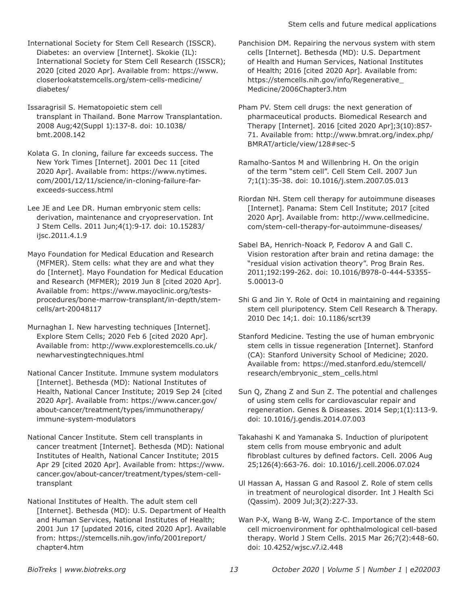International Society for Stem Cell Research (ISSCR). Diabetes: an overview [Internet]. Skokie (IL): International Society for Stem Cell Research (ISSCR); 2020 [cited 2020 Apr]. Available from: [https://www.](https://www.closerlookatstemcells.org/stem-cells-medicine/diabetes/) [closerlookatstemcells.org/stem-cells-medicine/](https://www.closerlookatstemcells.org/stem-cells-medicine/diabetes/) [diabetes/](https://www.closerlookatstemcells.org/stem-cells-medicine/diabetes/)

Issaragrisil S. Hematopoietic stem cell transplant in Thailand. Bone Marrow Transplantation. 2008 Aug;42(Suppl 1):137-8. doi: 10.1038/ bmt.2008.142

Kolata G. In cloning, failure far exceeds success. The New York Times [Internet]. 2001 Dec 11 [cited 2020 Apr]. Available from: [https://www.nytimes.](https://www.nytimes.com/2001/12/11/science/in-cloning-failure-far-exceeds-success.html) [com/2001/12/11/science/in-cloning-failure-far](https://www.nytimes.com/2001/12/11/science/in-cloning-failure-far-exceeds-success.html)[exceeds-success.html](https://www.nytimes.com/2001/12/11/science/in-cloning-failure-far-exceeds-success.html)

Lee JE and Lee DR. Human embryonic stem cells: derivation, maintenance and cryopreservation. Int J Stem Cells. 2011 Jun;4(1):9-17. doi: 10.15283/ ijsc.2011.4.1.9

Mayo Foundation for Medical Education and Research (MFMER). Stem cells: what they are and what they do [Internet]. Mayo Foundation for Medical Education and Research (MFMER); 2019 Jun 8 [cited 2020 Apr]. Available from: [https://www.mayoclinic.org/tests](https://www.mayoclinic.org/tests-procedures/bone-marrow-transplant/in-depth/stem-cells/art-20048117)[procedures/bone-marrow-transplant/in-depth/stem](https://www.mayoclinic.org/tests-procedures/bone-marrow-transplant/in-depth/stem-cells/art-20048117)[cells/art-20048117](https://www.mayoclinic.org/tests-procedures/bone-marrow-transplant/in-depth/stem-cells/art-20048117)

Murnaghan I. New harvesting techniques [Internet]. Explore Stem Cells; 2020 Feb 6 [cited 2020 Apr]. Available from: [http://www.explorestemcells.co.uk/](http://www.explorestemcells.co.uk/newharvestingtechniques.html) [newharvestingtechniques.html](http://www.explorestemcells.co.uk/newharvestingtechniques.html)

National Cancer Institute. Immune system modulators [Internet]. Bethesda (MD): National Institutes of Health, National Cancer Institute; 2019 Sep 24 [cited 2020 Apr]. Available from: [https://www.cancer.gov/](https://www.cancer.gov/about-cancer/treatment/types/immunotherapy/immune-system-modulators) [about-cancer/treatment/types/immunotherapy/](https://www.cancer.gov/about-cancer/treatment/types/immunotherapy/immune-system-modulators) [immune-system-modulators](https://www.cancer.gov/about-cancer/treatment/types/immunotherapy/immune-system-modulators)

National Cancer Institute. Stem cell transplants in cancer treatment [Internet]. Bethesda (MD): National Institutes of Health, National Cancer Institute; 2015 Apr 29 [cited 2020 Apr]. Available from: [https://www.](https://www.cancer.gov/about-cancer/treatment/types/stem-cell-transplant) [cancer.gov/about-cancer/treatment/types/stem-cell](https://www.cancer.gov/about-cancer/treatment/types/stem-cell-transplant)[transplant](https://www.cancer.gov/about-cancer/treatment/types/stem-cell-transplant)

National Institutes of Health. The adult stem cell [Internet]. Bethesda (MD): U.S. Department of Health and Human Services, National Institutes of Health; 2001 Jun 17 [updated 2016, cited 2020 Apr]. Available from: [https://stemcells.nih.gov/info/2001report/](https://stemcells.nih.gov/info/2001report/chapter4.htm) [chapter4.htm](https://stemcells.nih.gov/info/2001report/chapter4.htm)

Panchision DM. Repairing the nervous system with stem cells [Internet]. Bethesda (MD): U.S. Department of Health and Human Services, National Institutes of Health; 2016 [cited 2020 Apr]. Available from: [https://stemcells.nih.gov/info/Regenerative\\_](https://stemcells.nih.gov/info/Regenerative_Medicine/2006Chapter3.htm) [Medicine/2006Chapter3.htm](https://stemcells.nih.gov/info/Regenerative_Medicine/2006Chapter3.htm)

Pham PV. Stem cell drugs: the next generation of pharmaceutical products. Biomedical Research and Therapy [Internet]. 2016 [cited 2020 Apr];3(10):857- 71. Available from: [http://www.bmrat.org/index.php/](http://www.bmrat.org/index.php/BMRAT/article/view/128#sec-5) [BMRAT/article/view/128#sec-5](http://www.bmrat.org/index.php/BMRAT/article/view/128#sec-5)

Ramalho-Santos M and Willenbring H. On the origin of the term "stem cell". Cell Stem Cell. 2007 Jun 7;1(1):35-38. doi: 10.1016/j.stem.2007.05.013

Riordan NH. Stem cell therapy for autoimmune diseases [Internet]. Panama: Stem Cell Institute; 2017 [cited 2020 Apr]. Available from: [http://www.cellmedicine.](http://www.cellmedicine.com/stem-cell-therapy-for-autoimmune-diseases/) [com/stem-cell-therapy-for-autoimmune-diseases/](http://www.cellmedicine.com/stem-cell-therapy-for-autoimmune-diseases/)

Sabel BA, Henrich-Noack P, Fedorov A and Gall C. Vision restoration after brain and retina damage: the "residual vision activation theory". Prog Brain Res. 2011;192:199-262. doi: 10.1016/B978-0-444-53355- 5.00013-0

Shi G and Jin Y. Role of Oct4 in maintaining and regaining stem cell pluripotency. Stem Cell Research & Therapy. 2010 Dec 14;1. doi: 10.1186/scrt39

Stanford Medicine. Testing the use of human embryonic stem cells in tissue regeneration [Internet]. Stanford (CA): Stanford University School of Medicine; 2020. Available from: [https://med.stanford.edu/stemcell/](https://med.stanford.edu/stemcell/research/embryonic_stem_cells.html) [research/embryonic\\_stem\\_cells.html](https://med.stanford.edu/stemcell/research/embryonic_stem_cells.html)

Sun Q, Zhang Z and Sun Z. The potential and challenges of using stem cells for cardiovascular repair and regeneration. Genes & Diseases. 2014 Sep;1(1):113-9. doi: 10.1016/j.gendis.2014.07.003

Takahashi K and Yamanaka S. Induction of pluripotent stem cells from mouse embryonic and adult fibroblast cultures by defined factors. Cell. 2006 Aug 25;126(4):663-76. doi: 10.1016/j.cell.2006.07.024

Ul Hassan A, Hassan G and Rasool Z. Role of stem cells in treatment of neurological disorder. Int J Health Sci (Qassim). 2009 Jul;3(2):227-33.

Wan P-X, Wang B-W, Wang Z-C. Importance of the stem cell microenvironment for ophthalmological cell-based therapy. World J Stem Cells. 2015 Mar 26;7(2):448-60. doi: 10.4252/wjsc.v7.i2.448